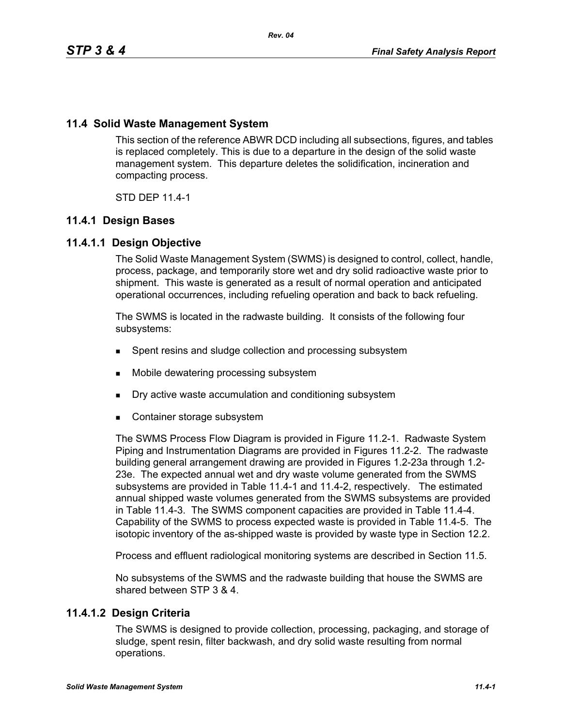# **11.4 Solid Waste Management System**

This section of the reference ABWR DCD including all subsections, figures, and tables is replaced completely. This is due to a departure in the design of the solid waste management system. This departure deletes the solidification, incineration and compacting process.

STD DEP 11.4-1

# **11.4.1 Design Bases**

# **11.4.1.1 Design Objective**

The Solid Waste Management System (SWMS) is designed to control, collect, handle, process, package, and temporarily store wet and dry solid radioactive waste prior to shipment. This waste is generated as a result of normal operation and anticipated operational occurrences, including refueling operation and back to back refueling.

The SWMS is located in the radwaste building. It consists of the following four subsystems:

- Spent resins and sludge collection and processing subsystem
- **Mobile dewatering processing subsystem**
- **Dry active waste accumulation and conditioning subsystem**
- Container storage subsystem

The SWMS Process Flow Diagram is provided in Figure 11.2-1. Radwaste System Piping and Instrumentation Diagrams are provided in Figures 11.2-2. The radwaste building general arrangement drawing are provided in Figures 1.2-23a through 1.2- 23e. The expected annual wet and dry waste volume generated from the SWMS subsystems are provided in Table 11.4-1 and 11.4-2, respectively. The estimated annual shipped waste volumes generated from the SWMS subsystems are provided in Table 11.4-3. The SWMS component capacities are provided in Table 11.4-4. Capability of the SWMS to process expected waste is provided in Table 11.4-5. The isotopic inventory of the as-shipped waste is provided by waste type in Section 12.2.

Process and effluent radiological monitoring systems are described in Section 11.5.

No subsystems of the SWMS and the radwaste building that house the SWMS are shared between STP 3 & 4.

# **11.4.1.2 Design Criteria**

The SWMS is designed to provide collection, processing, packaging, and storage of sludge, spent resin, filter backwash, and dry solid waste resulting from normal operations.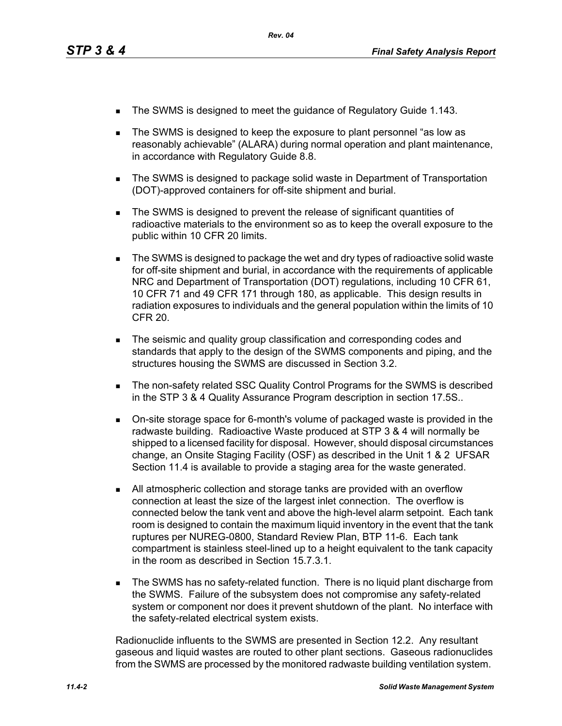- The SWMS is designed to meet the guidance of Regulatory Guide 1.143.
- The SWMS is designed to keep the exposure to plant personnel "as low as reasonably achievable" (ALARA) during normal operation and plant maintenance, in accordance with Regulatory Guide 8.8.
- The SWMS is designed to package solid waste in Department of Transportation (DOT)-approved containers for off-site shipment and burial.
- The SWMS is designed to prevent the release of significant quantities of radioactive materials to the environment so as to keep the overall exposure to the public within 10 CFR 20 limits.
- The SWMS is designed to package the wet and dry types of radioactive solid waste for off-site shipment and burial, in accordance with the requirements of applicable NRC and Department of Transportation (DOT) regulations, including 10 CFR 61, 10 CFR 71 and 49 CFR 171 through 180, as applicable. This design results in radiation exposures to individuals and the general population within the limits of 10 CFR 20.
- The seismic and quality group classification and corresponding codes and standards that apply to the design of the SWMS components and piping, and the structures housing the SWMS are discussed in Section 3.2.
- **The non-safety related SSC Quality Control Programs for the SWMS is described** in the STP 3 & 4 Quality Assurance Program description in section 17.5S..
- On-site storage space for 6-month's volume of packaged waste is provided in the radwaste building. Radioactive Waste produced at STP 3 & 4 will normally be shipped to a licensed facility for disposal. However, should disposal circumstances change, an Onsite Staging Facility (OSF) as described in the Unit 1 & 2 UFSAR Section 11.4 is available to provide a staging area for the waste generated.
- All atmospheric collection and storage tanks are provided with an overflow connection at least the size of the largest inlet connection. The overflow is connected below the tank vent and above the high-level alarm setpoint. Each tank room is designed to contain the maximum liquid inventory in the event that the tank ruptures per NUREG-0800, Standard Review Plan, BTP 11-6. Each tank compartment is stainless steel-lined up to a height equivalent to the tank capacity in the room as described in Section 15.7.3.1.
- **The SWMS has no safety-related function. There is no liquid plant discharge from** the SWMS. Failure of the subsystem does not compromise any safety-related system or component nor does it prevent shutdown of the plant. No interface with the safety-related electrical system exists.

Radionuclide influents to the SWMS are presented in Section 12.2. Any resultant gaseous and liquid wastes are routed to other plant sections. Gaseous radionuclides from the SWMS are processed by the monitored radwaste building ventilation system.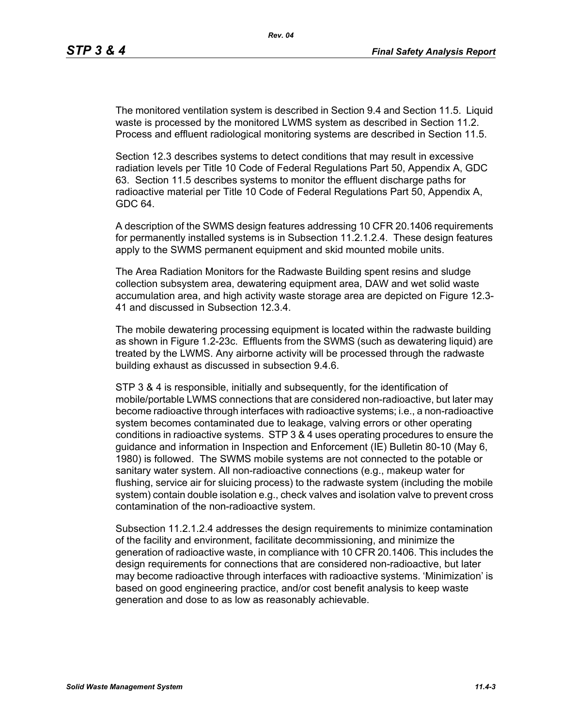The monitored ventilation system is described in Section 9.4 and Section 11.5. Liquid waste is processed by the monitored LWMS system as described in Section 11.2. Process and effluent radiological monitoring systems are described in Section 11.5.

Section 12.3 describes systems to detect conditions that may result in excessive radiation levels per Title 10 Code of Federal Regulations Part 50, Appendix A, GDC 63. Section 11.5 describes systems to monitor the effluent discharge paths for radioactive material per Title 10 Code of Federal Regulations Part 50, Appendix A, GDC 64.

A description of the SWMS design features addressing 10 CFR 20.1406 requirements for permanently installed systems is in Subsection 11.2.1.2.4. These design features apply to the SWMS permanent equipment and skid mounted mobile units.

The Area Radiation Monitors for the Radwaste Building spent resins and sludge collection subsystem area, dewatering equipment area, DAW and wet solid waste accumulation area, and high activity waste storage area are depicted on Figure 12.3- 41 and discussed in Subsection 12.3.4.

The mobile dewatering processing equipment is located within the radwaste building as shown in Figure 1.2-23c. Effluents from the SWMS (such as dewatering liquid) are treated by the LWMS. Any airborne activity will be processed through the radwaste building exhaust as discussed in subsection 9.4.6.

STP 3 & 4 is responsible, initially and subsequently, for the identification of mobile/portable LWMS connections that are considered non-radioactive, but later may become radioactive through interfaces with radioactive systems; i.e., a non-radioactive system becomes contaminated due to leakage, valving errors or other operating conditions in radioactive systems. STP 3 & 4 uses operating procedures to ensure the guidance and information in Inspection and Enforcement (IE) Bulletin 80-10 (May 6, 1980) is followed. The SWMS mobile systems are not connected to the potable or sanitary water system. All non-radioactive connections (e.g., makeup water for flushing, service air for sluicing process) to the radwaste system (including the mobile system) contain double isolation e.g., check valves and isolation valve to prevent cross contamination of the non-radioactive system.

Subsection 11.2.1.2.4 addresses the design requirements to minimize contamination of the facility and environment, facilitate decommissioning, and minimize the generation of radioactive waste, in compliance with 10 CFR 20.1406. This includes the design requirements for connections that are considered non-radioactive, but later may become radioactive through interfaces with radioactive systems. 'Minimization' is based on good engineering practice, and/or cost benefit analysis to keep waste generation and dose to as low as reasonably achievable.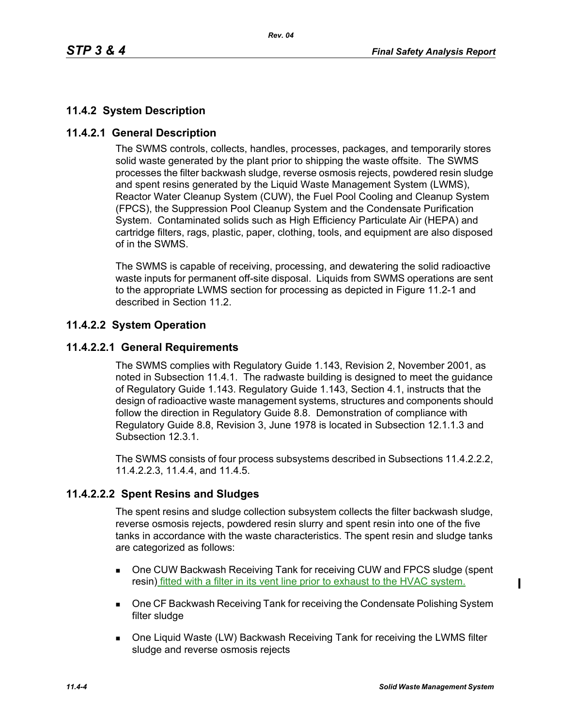# **11.4.2 System Description**

# **11.4.2.1 General Description**

The SWMS controls, collects, handles, processes, packages, and temporarily stores solid waste generated by the plant prior to shipping the waste offsite. The SWMS processes the filter backwash sludge, reverse osmosis rejects, powdered resin sludge and spent resins generated by the Liquid Waste Management System (LWMS), Reactor Water Cleanup System (CUW), the Fuel Pool Cooling and Cleanup System (FPCS), the Suppression Pool Cleanup System and the Condensate Purification System. Contaminated solids such as High Efficiency Particulate Air (HEPA) and cartridge filters, rags, plastic, paper, clothing, tools, and equipment are also disposed of in the SWMS.

The SWMS is capable of receiving, processing, and dewatering the solid radioactive waste inputs for permanent off-site disposal. Liquids from SWMS operations are sent to the appropriate LWMS section for processing as depicted in Figure 11.2-1 and described in Section 11.2.

# **11.4.2.2 System Operation**

# **11.4.2.2.1 General Requirements**

The SWMS complies with Regulatory Guide 1.143, Revision 2, November 2001, as noted in Subsection 11.4.1. The radwaste building is designed to meet the guidance of Regulatory Guide 1.143. Regulatory Guide 1.143, Section 4.1, instructs that the design of radioactive waste management systems, structures and components should follow the direction in Regulatory Guide 8.8. Demonstration of compliance with Regulatory Guide 8.8, Revision 3, June 1978 is located in Subsection 12.1.1.3 and Subsection 12.3.1.

The SWMS consists of four process subsystems described in Subsections 11.4.2.2.2, 11.4.2.2.3, 11.4.4, and 11.4.5.

# **11.4.2.2.2 Spent Resins and Sludges**

The spent resins and sludge collection subsystem collects the filter backwash sludge, reverse osmosis rejects, powdered resin slurry and spent resin into one of the five tanks in accordance with the waste characteristics. The spent resin and sludge tanks are categorized as follows:

- One CUW Backwash Receiving Tank for receiving CUW and FPCS sludge (spent resin) fitted with a filter in its vent line prior to exhaust to the HVAC system.
- **DIE CF Backwash Receiving Tank for receiving the Condensate Polishing System** filter sludge
- One Liquid Waste (LW) Backwash Receiving Tank for receiving the LWMS filter sludge and reverse osmosis rejects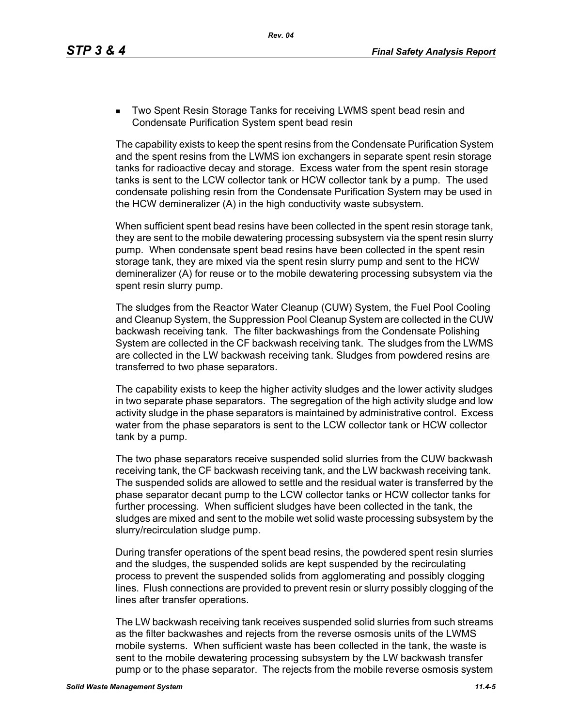**Two Spent Resin Storage Tanks for receiving LWMS spent bead resin and** Condensate Purification System spent bead resin

The capability exists to keep the spent resins from the Condensate Purification System and the spent resins from the LWMS ion exchangers in separate spent resin storage tanks for radioactive decay and storage. Excess water from the spent resin storage tanks is sent to the LCW collector tank or HCW collector tank by a pump. The used condensate polishing resin from the Condensate Purification System may be used in the HCW demineralizer (A) in the high conductivity waste subsystem.

When sufficient spent bead resins have been collected in the spent resin storage tank, they are sent to the mobile dewatering processing subsystem via the spent resin slurry pump. When condensate spent bead resins have been collected in the spent resin storage tank, they are mixed via the spent resin slurry pump and sent to the HCW demineralizer (A) for reuse or to the mobile dewatering processing subsystem via the spent resin slurry pump.

The sludges from the Reactor Water Cleanup (CUW) System, the Fuel Pool Cooling and Cleanup System, the Suppression Pool Cleanup System are collected in the CUW backwash receiving tank. The filter backwashings from the Condensate Polishing System are collected in the CF backwash receiving tank. The sludges from the LWMS are collected in the LW backwash receiving tank. Sludges from powdered resins are transferred to two phase separators.

The capability exists to keep the higher activity sludges and the lower activity sludges in two separate phase separators. The segregation of the high activity sludge and low activity sludge in the phase separators is maintained by administrative control. Excess water from the phase separators is sent to the LCW collector tank or HCW collector tank by a pump.

The two phase separators receive suspended solid slurries from the CUW backwash receiving tank, the CF backwash receiving tank, and the LW backwash receiving tank. The suspended solids are allowed to settle and the residual water is transferred by the phase separator decant pump to the LCW collector tanks or HCW collector tanks for further processing. When sufficient sludges have been collected in the tank, the sludges are mixed and sent to the mobile wet solid waste processing subsystem by the slurry/recirculation sludge pump.

During transfer operations of the spent bead resins, the powdered spent resin slurries and the sludges, the suspended solids are kept suspended by the recirculating process to prevent the suspended solids from agglomerating and possibly clogging lines. Flush connections are provided to prevent resin or slurry possibly clogging of the lines after transfer operations.

The LW backwash receiving tank receives suspended solid slurries from such streams as the filter backwashes and rejects from the reverse osmosis units of the LWMS mobile systems. When sufficient waste has been collected in the tank, the waste is sent to the mobile dewatering processing subsystem by the LW backwash transfer pump or to the phase separator. The rejects from the mobile reverse osmosis system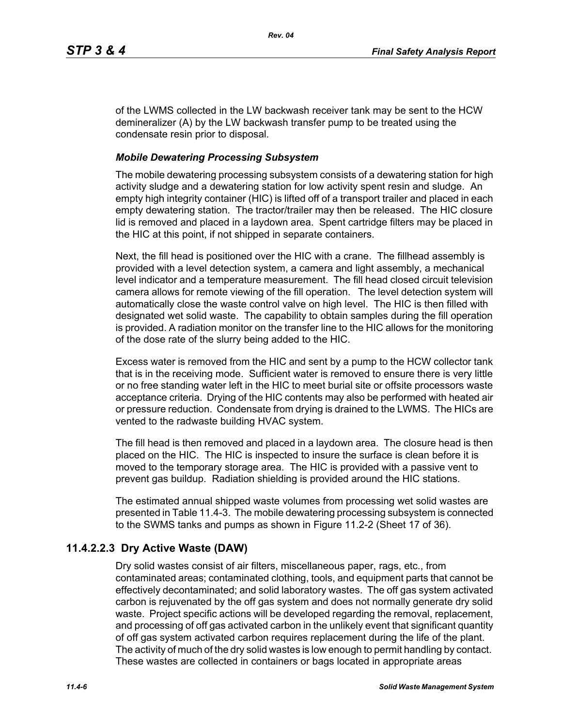of the LWMS collected in the LW backwash receiver tank may be sent to the HCW demineralizer (A) by the LW backwash transfer pump to be treated using the condensate resin prior to disposal.

#### *Mobile Dewatering Processing Subsystem*

The mobile dewatering processing subsystem consists of a dewatering station for high activity sludge and a dewatering station for low activity spent resin and sludge. An empty high integrity container (HIC) is lifted off of a transport trailer and placed in each empty dewatering station. The tractor/trailer may then be released. The HIC closure lid is removed and placed in a laydown area. Spent cartridge filters may be placed in the HIC at this point, if not shipped in separate containers.

Next, the fill head is positioned over the HIC with a crane. The fillhead assembly is provided with a level detection system, a camera and light assembly, a mechanical level indicator and a temperature measurement. The fill head closed circuit television camera allows for remote viewing of the fill operation. The level detection system will automatically close the waste control valve on high level. The HIC is then filled with designated wet solid waste. The capability to obtain samples during the fill operation is provided. A radiation monitor on the transfer line to the HIC allows for the monitoring of the dose rate of the slurry being added to the HIC.

Excess water is removed from the HIC and sent by a pump to the HCW collector tank that is in the receiving mode. Sufficient water is removed to ensure there is very little or no free standing water left in the HIC to meet burial site or offsite processors waste acceptance criteria. Drying of the HIC contents may also be performed with heated air or pressure reduction. Condensate from drying is drained to the LWMS. The HICs are vented to the radwaste building HVAC system.

The fill head is then removed and placed in a laydown area. The closure head is then placed on the HIC. The HIC is inspected to insure the surface is clean before it is moved to the temporary storage area. The HIC is provided with a passive vent to prevent gas buildup. Radiation shielding is provided around the HIC stations.

The estimated annual shipped waste volumes from processing wet solid wastes are presented in Table 11.4-3. The mobile dewatering processing subsystem is connected to the SWMS tanks and pumps as shown in Figure 11.2-2 (Sheet 17 of 36).

# **11.4.2.2.3 Dry Active Waste (DAW)**

Dry solid wastes consist of air filters, miscellaneous paper, rags, etc., from contaminated areas; contaminated clothing, tools, and equipment parts that cannot be effectively decontaminated; and solid laboratory wastes. The off gas system activated carbon is rejuvenated by the off gas system and does not normally generate dry solid waste. Project specific actions will be developed regarding the removal, replacement, and processing of off gas activated carbon in the unlikely event that significant quantity of off gas system activated carbon requires replacement during the life of the plant. The activity of much of the dry solid wastes is low enough to permit handling by contact. These wastes are collected in containers or bags located in appropriate areas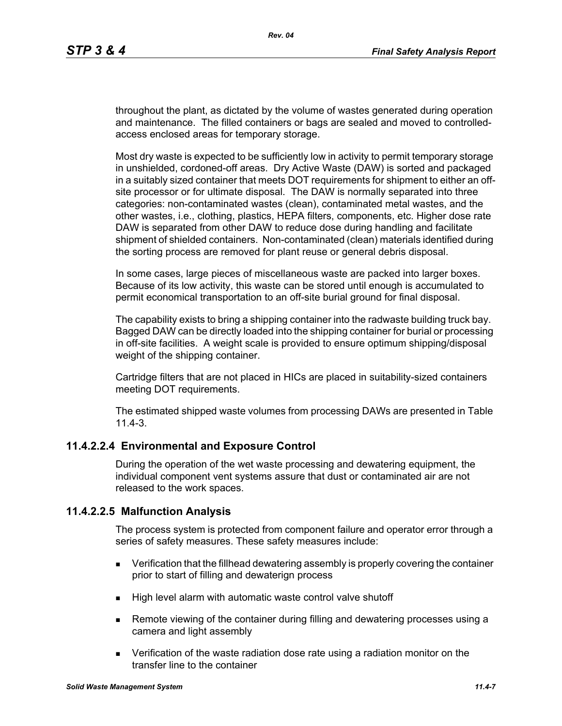throughout the plant, as dictated by the volume of wastes generated during operation and maintenance. The filled containers or bags are sealed and moved to controlledaccess enclosed areas for temporary storage.

Most dry waste is expected to be sufficiently low in activity to permit temporary storage in unshielded, cordoned-off areas. Dry Active Waste (DAW) is sorted and packaged in a suitably sized container that meets DOT requirements for shipment to either an offsite processor or for ultimate disposal. The DAW is normally separated into three categories: non-contaminated wastes (clean), contaminated metal wastes, and the other wastes, i.e., clothing, plastics, HEPA filters, components, etc. Higher dose rate DAW is separated from other DAW to reduce dose during handling and facilitate shipment of shielded containers. Non-contaminated (clean) materials identified during the sorting process are removed for plant reuse or general debris disposal.

In some cases, large pieces of miscellaneous waste are packed into larger boxes. Because of its low activity, this waste can be stored until enough is accumulated to permit economical transportation to an off-site burial ground for final disposal.

The capability exists to bring a shipping container into the radwaste building truck bay. Bagged DAW can be directly loaded into the shipping container for burial or processing in off-site facilities. A weight scale is provided to ensure optimum shipping/disposal weight of the shipping container.

Cartridge filters that are not placed in HICs are placed in suitability-sized containers meeting DOT requirements.

The estimated shipped waste volumes from processing DAWs are presented in Table 11.4-3.

# **11.4.2.2.4 Environmental and Exposure Control**

During the operation of the wet waste processing and dewatering equipment, the individual component vent systems assure that dust or contaminated air are not released to the work spaces.

#### **11.4.2.2.5 Malfunction Analysis**

The process system is protected from component failure and operator error through a series of safety measures. These safety measures include:

- **EXECT** Verification that the fillhead dewatering assembly is properly covering the container prior to start of filling and dewaterign process
- High level alarm with automatic waste control valve shutoff
- **Remote viewing of the container during filling and dewatering processes using a** camera and light assembly
- Verification of the waste radiation dose rate using a radiation monitor on the transfer line to the container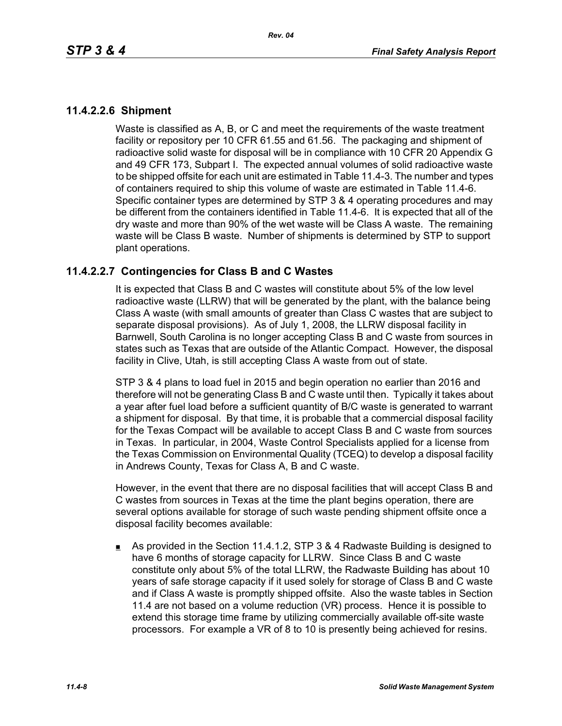# **11.4.2.2.6 Shipment**

Waste is classified as A, B, or C and meet the requirements of the waste treatment facility or repository per 10 CFR 61.55 and 61.56. The packaging and shipment of radioactive solid waste for disposal will be in compliance with 10 CFR 20 Appendix G and 49 CFR 173, Subpart I. The expected annual volumes of solid radioactive waste to be shipped offsite for each unit are estimated in Table 11.4-3. The number and types of containers required to ship this volume of waste are estimated in Table 11.4-6. Specific container types are determined by STP 3 & 4 operating procedures and may be different from the containers identified in Table 11.4-6. It is expected that all of the dry waste and more than 90% of the wet waste will be Class A waste. The remaining waste will be Class B waste. Number of shipments is determined by STP to support plant operations.

#### **11.4.2.2.7 Contingencies for Class B and C Wastes**

It is expected that Class B and C wastes will constitute about 5% of the low level radioactive waste (LLRW) that will be generated by the plant, with the balance being Class A waste (with small amounts of greater than Class C wastes that are subject to separate disposal provisions). As of July 1, 2008, the LLRW disposal facility in Barnwell, South Carolina is no longer accepting Class B and C waste from sources in states such as Texas that are outside of the Atlantic Compact. However, the disposal facility in Clive, Utah, is still accepting Class A waste from out of state.

STP 3 & 4 plans to load fuel in 2015 and begin operation no earlier than 2016 and therefore will not be generating Class B and C waste until then. Typically it takes about a year after fuel load before a sufficient quantity of B/C waste is generated to warrant a shipment for disposal. By that time, it is probable that a commercial disposal facility for the Texas Compact will be available to accept Class B and C waste from sources in Texas. In particular, in 2004, Waste Control Specialists applied for a license from the Texas Commission on Environmental Quality (TCEQ) to develop a disposal facility in Andrews County, Texas for Class A, B and C waste.

However, in the event that there are no disposal facilities that will accept Class B and C wastes from sources in Texas at the time the plant begins operation, there are several options available for storage of such waste pending shipment offsite once a disposal facility becomes available:

As provided in the Section 11.4.1.2, STP 3 & 4 Radwaste Building is designed to have 6 months of storage capacity for LLRW. Since Class B and C waste constitute only about 5% of the total LLRW, the Radwaste Building has about 10 years of safe storage capacity if it used solely for storage of Class B and C waste and if Class A waste is promptly shipped offsite. Also the waste tables in Section 11.4 are not based on a volume reduction (VR) process. Hence it is possible to extend this storage time frame by utilizing commercially available off-site waste processors. For example a VR of 8 to 10 is presently being achieved for resins.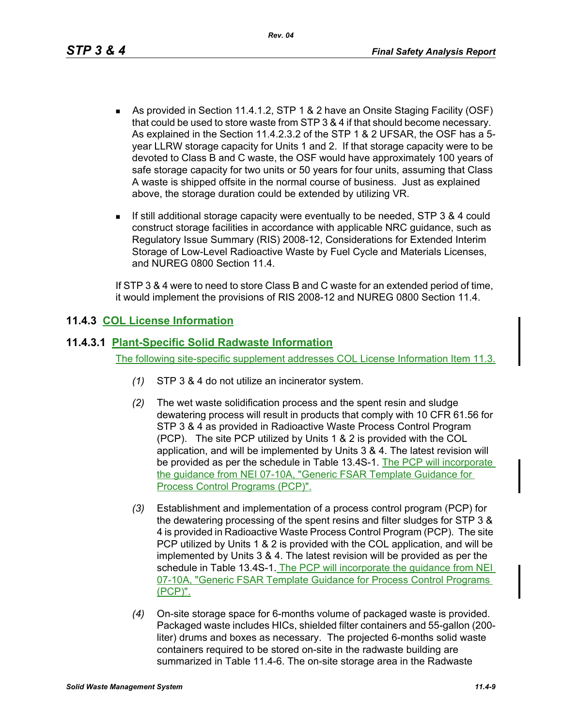*Rev. 04*

- As provided in Section 11.4.1.2, STP 1 & 2 have an Onsite Staging Facility (OSF) that could be used to store waste from STP 3 & 4 if that should become necessary. As explained in the Section 11.4.2.3.2 of the STP 1 & 2 UFSAR, the OSF has a 5 year LLRW storage capacity for Units 1 and 2. If that storage capacity were to be devoted to Class B and C waste, the OSF would have approximately 100 years of safe storage capacity for two units or 50 years for four units, assuming that Class A waste is shipped offsite in the normal course of business. Just as explained above, the storage duration could be extended by utilizing VR.
- If still additional storage capacity were eventually to be needed, STP 3 & 4 could construct storage facilities in accordance with applicable NRC guidance, such as Regulatory Issue Summary (RIS) 2008-12, Considerations for Extended Interim Storage of Low-Level Radioactive Waste by Fuel Cycle and Materials Licenses, and NUREG 0800 Section 11.4.

If STP 3 & 4 were to need to store Class B and C waste for an extended period of time, it would implement the provisions of RIS 2008-12 and NUREG 0800 Section 11.4.

# **11.4.3 COL License Information**

### **11.4.3.1 Plant-Specific Solid Radwaste Information**

The following site-specific supplement addresses COL License Information Item 11.3.

- *(1)* STP 3 & 4 do not utilize an incinerator system.
- *(2)* The wet waste solidification process and the spent resin and sludge dewatering process will result in products that comply with 10 CFR 61.56 for STP 3 & 4 as provided in Radioactive Waste Process Control Program (PCP). The site PCP utilized by Units 1 & 2 is provided with the COL application, and will be implemented by Units 3 & 4. The latest revision will be provided as per the schedule in Table 13.4S-1. The PCP will incorporate the guidance from NEI 07-10A, "Generic FSAR Template Guidance for Process Control Programs (PCP)".
- *(3)* Establishment and implementation of a process control program (PCP) for the dewatering processing of the spent resins and filter sludges for STP 3 & 4 is provided in Radioactive Waste Process Control Program (PCP). The site PCP utilized by Units 1 & 2 is provided with the COL application, and will be implemented by Units 3 & 4. The latest revision will be provided as per the schedule in Table 13.4S-1. The PCP will incorporate the guidance from NEI 07-10A, "Generic FSAR Template Guidance for Process Control Programs (PCP)".
- *(4)* On-site storage space for 6-months volume of packaged waste is provided. Packaged waste includes HICs, shielded filter containers and 55-gallon (200 liter) drums and boxes as necessary. The projected 6-months solid waste containers required to be stored on-site in the radwaste building are summarized in Table 11.4-6. The on-site storage area in the Radwaste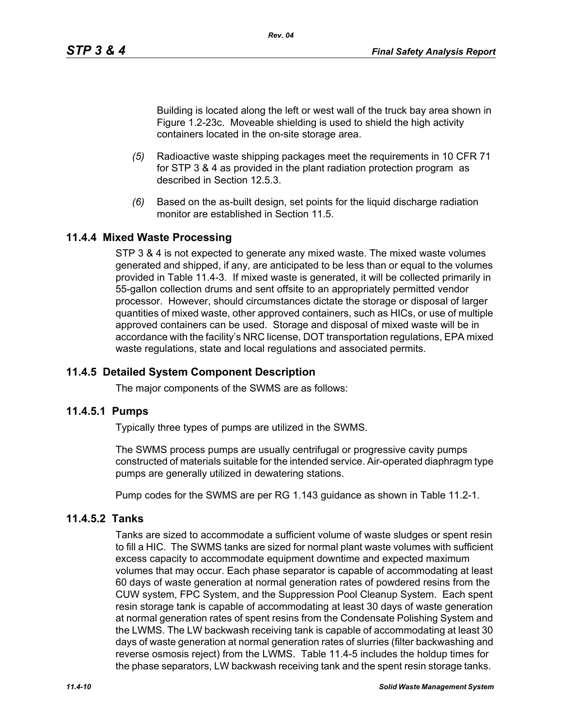Building is located along the left or west wall of the truck bay area shown in Figure 1.2-23c. Moveable shielding is used to shield the high activity containers located in the on-site storage area.

- *(5)* Radioactive waste shipping packages meet the requirements in 10 CFR 71 for STP 3 & 4 as provided in the plant radiation protection program as described in Section 12.5.3.
- *(6)* Based on the as-built design, set points for the liquid discharge radiation monitor are established in Section 11.5

# **11.4.4 Mixed Waste Processing**

STP 3 & 4 is not expected to generate any mixed waste. The mixed waste volumes generated and shipped, if any, are anticipated to be less than or equal to the volumes provided in Table 11.4-3. If mixed waste is generated, it will be collected primarily in 55-gallon collection drums and sent offsite to an appropriately permitted vendor processor. However, should circumstances dictate the storage or disposal of larger quantities of mixed waste, other approved containers, such as HICs, or use of multiple approved containers can be used. Storage and disposal of mixed waste will be in accordance with the facility's NRC license, DOT transportation regulations, EPA mixed waste regulations, state and local regulations and associated permits.

#### **11.4.5 Detailed System Component Description**

The major components of the SWMS are as follows:

#### **11.4.5.1 Pumps**

Typically three types of pumps are utilized in the SWMS.

The SWMS process pumps are usually centrifugal or progressive cavity pumps constructed of materials suitable for the intended service. Air-operated diaphragm type pumps are generally utilized in dewatering stations.

Pump codes for the SWMS are per RG 1.143 guidance as shown in Table 11.2-1.

#### **11.4.5.2 Tanks**

Tanks are sized to accommodate a sufficient volume of waste sludges or spent resin to fill a HIC. The SWMS tanks are sized for normal plant waste volumes with sufficient excess capacity to accommodate equipment downtime and expected maximum volumes that may occur. Each phase separator is capable of accommodating at least 60 days of waste generation at normal generation rates of powdered resins from the CUW system, FPC System, and the Suppression Pool Cleanup System. Each spent resin storage tank is capable of accommodating at least 30 days of waste generation at normal generation rates of spent resins from the Condensate Polishing System and the LWMS. The LW backwash receiving tank is capable of accommodating at least 30 days of waste generation at normal generation rates of slurries (filter backwashing and reverse osmosis reject) from the LWMS. Table 11.4-5 includes the holdup times for the phase separators, LW backwash receiving tank and the spent resin storage tanks.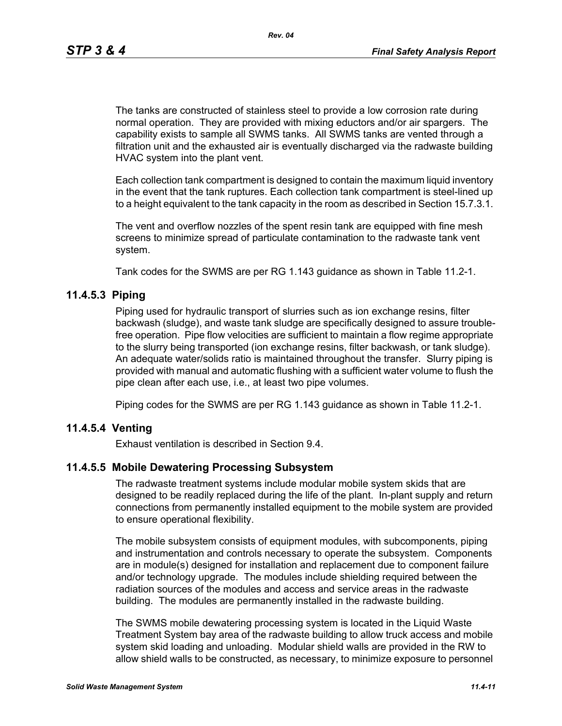The tanks are constructed of stainless steel to provide a low corrosion rate during normal operation. They are provided with mixing eductors and/or air spargers. The capability exists to sample all SWMS tanks. All SWMS tanks are vented through a filtration unit and the exhausted air is eventually discharged via the radwaste building HVAC system into the plant vent.

Each collection tank compartment is designed to contain the maximum liquid inventory in the event that the tank ruptures. Each collection tank compartment is steel-lined up to a height equivalent to the tank capacity in the room as described in Section 15.7.3.1.

The vent and overflow nozzles of the spent resin tank are equipped with fine mesh screens to minimize spread of particulate contamination to the radwaste tank vent system.

Tank codes for the SWMS are per RG 1.143 guidance as shown in Table 11.2-1.

#### **11.4.5.3 Piping**

Piping used for hydraulic transport of slurries such as ion exchange resins, filter backwash (sludge), and waste tank sludge are specifically designed to assure troublefree operation. Pipe flow velocities are sufficient to maintain a flow regime appropriate to the slurry being transported (ion exchange resins, filter backwash, or tank sludge). An adequate water/solids ratio is maintained throughout the transfer. Slurry piping is provided with manual and automatic flushing with a sufficient water volume to flush the pipe clean after each use, i.e., at least two pipe volumes.

Piping codes for the SWMS are per RG 1.143 guidance as shown in Table 11.2-1.

#### **11.4.5.4 Venting**

Exhaust ventilation is described in Section 9.4.

#### **11.4.5.5 Mobile Dewatering Processing Subsystem**

The radwaste treatment systems include modular mobile system skids that are designed to be readily replaced during the life of the plant. In-plant supply and return connections from permanently installed equipment to the mobile system are provided to ensure operational flexibility.

The mobile subsystem consists of equipment modules, with subcomponents, piping and instrumentation and controls necessary to operate the subsystem. Components are in module(s) designed for installation and replacement due to component failure and/or technology upgrade. The modules include shielding required between the radiation sources of the modules and access and service areas in the radwaste building. The modules are permanently installed in the radwaste building.

The SWMS mobile dewatering processing system is located in the Liquid Waste Treatment System bay area of the radwaste building to allow truck access and mobile system skid loading and unloading. Modular shield walls are provided in the RW to allow shield walls to be constructed, as necessary, to minimize exposure to personnel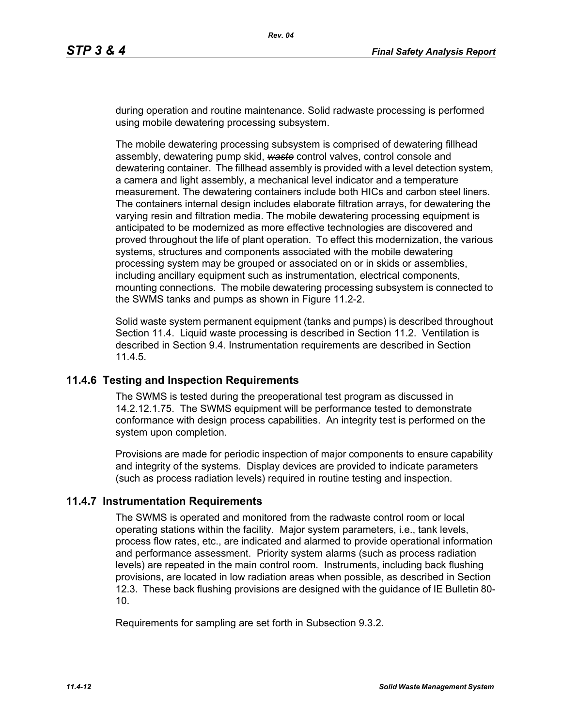during operation and routine maintenance. Solid radwaste processing is performed using mobile dewatering processing subsystem.

The mobile dewatering processing subsystem is comprised of dewatering fillhead assembly, dewatering pump skid, *waste* control valves, control console and dewatering container. The fillhead assembly is provided with a level detection system, a camera and light assembly, a mechanical level indicator and a temperature measurement. The dewatering containers include both HICs and carbon steel liners. The containers internal design includes elaborate filtration arrays, for dewatering the varying resin and filtration media. The mobile dewatering processing equipment is anticipated to be modernized as more effective technologies are discovered and proved throughout the life of plant operation. To effect this modernization, the various systems, structures and components associated with the mobile dewatering processing system may be grouped or associated on or in skids or assemblies, including ancillary equipment such as instrumentation, electrical components, mounting connections. The mobile dewatering processing subsystem is connected to the SWMS tanks and pumps as shown in Figure 11.2-2.

Solid waste system permanent equipment (tanks and pumps) is described throughout Section 11.4. Liquid waste processing is described in Section 11.2. Ventilation is described in Section 9.4. Instrumentation requirements are described in Section 11.4.5.

#### **11.4.6 Testing and Inspection Requirements**

The SWMS is tested during the preoperational test program as discussed in 14.2.12.1.75. The SWMS equipment will be performance tested to demonstrate conformance with design process capabilities. An integrity test is performed on the system upon completion.

Provisions are made for periodic inspection of major components to ensure capability and integrity of the systems. Display devices are provided to indicate parameters (such as process radiation levels) required in routine testing and inspection.

#### **11.4.7 Instrumentation Requirements**

The SWMS is operated and monitored from the radwaste control room or local operating stations within the facility. Major system parameters, i.e., tank levels, process flow rates, etc., are indicated and alarmed to provide operational information and performance assessment. Priority system alarms (such as process radiation levels) are repeated in the main control room. Instruments, including back flushing provisions, are located in low radiation areas when possible, as described in Section 12.3. These back flushing provisions are designed with the guidance of IE Bulletin 80- 10.

Requirements for sampling are set forth in Subsection 9.3.2.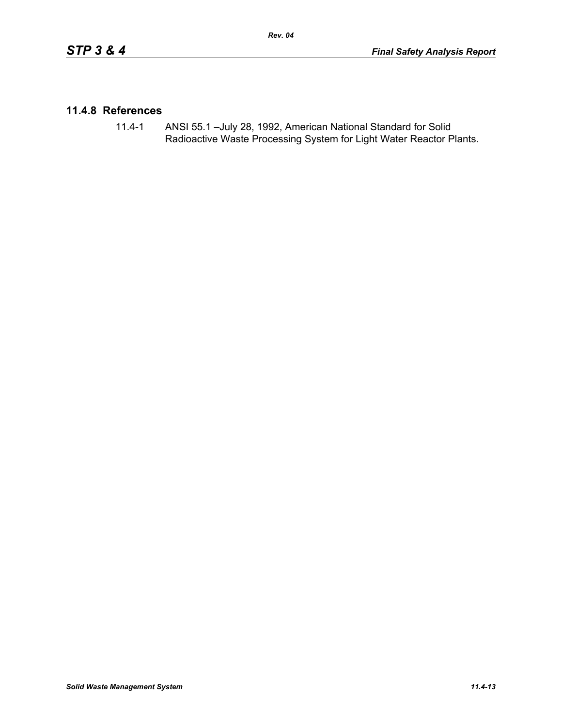#### **11.4.8 References**

11.4-1 ANSI 55.1 –July 28, 1992, American National Standard for Solid Radioactive Waste Processing System for Light Water Reactor Plants.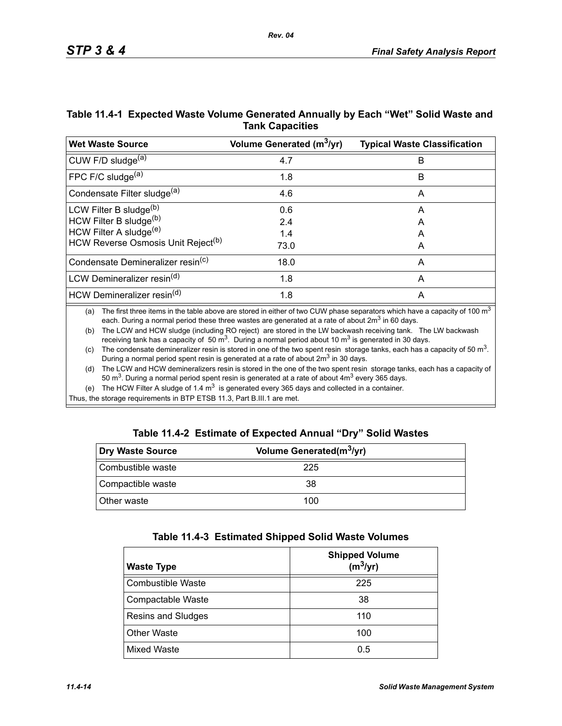| Table 11.4-1 Expected Waste Volume Generated Annually by Each "Wet" Solid Waste and |  |
|-------------------------------------------------------------------------------------|--|
| <b>Tank Capacities</b>                                                              |  |

*Rev. 04*

| <b>Wet Waste Source</b>                        | Volume Generated (m <sup>3</sup> /yr) | <b>Typical Waste Classification</b> |
|------------------------------------------------|---------------------------------------|-------------------------------------|
| CUW F/D sludge <sup>(a)</sup>                  | 4.7                                   | B                                   |
| FPC F/C sludge <sup>(a)</sup>                  | 1.8                                   | B                                   |
| Condensate Filter sludge <sup>(a)</sup>        | 4.6                                   | A                                   |
| LCW Filter B sludge <sup>(b)</sup>             | 0.6                                   | A                                   |
| HCW Filter B sludge(b)                         | 2.4                                   | A                                   |
| HCW Filter A sludge <sup>(e)</sup>             | 1.4                                   | А                                   |
| HCW Reverse Osmosis Unit Reject <sup>(b)</sup> | 73.0                                  | A                                   |
| Condensate Demineralizer resin <sup>(c)</sup>  | 18.0                                  | A                                   |
| LCW Demineralizer resin <sup>(d)</sup>         | 1.8                                   | A                                   |
| HCW Demineralizer resin <sup>(d)</sup>         | 1.8                                   | A                                   |

(a) The first three items in the table above are stored in either of two CUW phase separators which have a capacity of 100  $m<sup>3</sup>$ each. During a normal period these three wastes are generated at a rate of about  $2m<sup>3</sup>$  in 60 days.

(b) The LCW and HCW sludge (including RO reject) are stored in the LW backwash receiving tank. The LW backwash receiving tank has a capacity of 50  $\text{m}^3$ . During a normal period about 10  $\text{m}^3$  is generated in 30 days.

(c) The condensate demineralizer resin is stored in one of the two spent resin storage tanks, each has a capacity of 50  $m^3$ . During a normal period spent resin is generated at a rate of about  $2m<sup>3</sup>$  in 30 days.

(d) The LCW and HCW demineralizers resin is stored in the one of the two spent resin storage tanks, each has a capacity of 50  $\text{m}^3$ . During a normal period spent resin is generated at a rate of about  $4\text{m}^3$  every 365 days.

(e) The HCW Filter A sludge of 1.4  $m<sup>3</sup>$  is generated every 365 days and collected in a container.

Thus, the storage requirements in BTP ETSB 11.3, Part B.III.1 are met.

|  | Table 11.4-2 Estimate of Expected Annual "Dry" Solid Wastes |  |  |  |
|--|-------------------------------------------------------------|--|--|--|
|--|-------------------------------------------------------------|--|--|--|

| Dry Waste Source   | Volume Generated(m <sup>3</sup> /yr) |  |
|--------------------|--------------------------------------|--|
| Combustible waste  | 225                                  |  |
| Compactible waste  | 38                                   |  |
| <b>Other waste</b> | 100                                  |  |

| Table 11.4-3 Estimated Shipped Solid Waste Volumes |  |  |  |  |  |
|----------------------------------------------------|--|--|--|--|--|
|----------------------------------------------------|--|--|--|--|--|

| <b>Waste Type</b>        | <b>Shipped Volume</b><br>$(m^3/yr)$ |
|--------------------------|-------------------------------------|
| <b>Combustible Waste</b> | 225                                 |
| Compactable Waste        | 38                                  |
| Resins and Sludges       | 110                                 |
| <b>Other Waste</b>       | 100                                 |
| <b>Mixed Waste</b>       | 0.5                                 |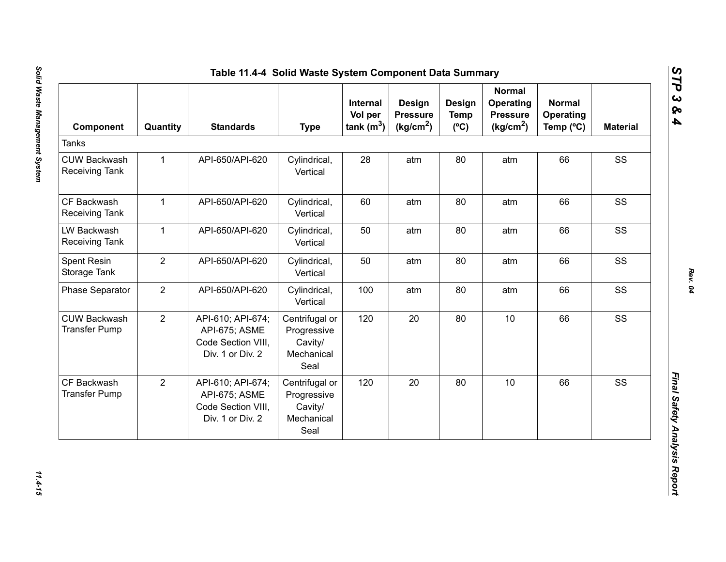| Component                                    | Quantity       | <b>Standards</b>                                                             | <b>Type</b>                                                    | Internal<br>Vol per<br>tank $(m^3)$ | <b>Design</b><br><b>Pressure</b><br>(kg/cm <sup>2</sup> ) | Design<br><b>Temp</b><br>$(^{\circ}C)$ | <b>Normal</b><br>Operating<br><b>Pressure</b><br>(kg/cm <sup>2</sup> ) | <b>Normal</b><br><b>Operating</b><br>Temp (°C) | <b>Material</b> |
|----------------------------------------------|----------------|------------------------------------------------------------------------------|----------------------------------------------------------------|-------------------------------------|-----------------------------------------------------------|----------------------------------------|------------------------------------------------------------------------|------------------------------------------------|-----------------|
| <b>Tanks</b>                                 |                |                                                                              |                                                                |                                     |                                                           |                                        |                                                                        |                                                |                 |
| <b>CUW Backwash</b><br><b>Receiving Tank</b> | $\mathbf{1}$   | API-650/API-620                                                              | Cylindrical,<br>Vertical                                       | 28                                  | atm                                                       | 80                                     | atm                                                                    | 66                                             | SS              |
| CF Backwash<br>Receiving Tank                | $\mathbf{1}$   | API-650/API-620                                                              | Cylindrical,<br>Vertical                                       | 60                                  | atm                                                       | 80                                     | atm                                                                    | 66                                             | SS              |
| LW Backwash<br><b>Receiving Tank</b>         | $\mathbf{1}$   | API-650/API-620                                                              | Cylindrical,<br>Vertical                                       | 50                                  | atm                                                       | 80                                     | atm                                                                    | 66                                             | SS              |
| Spent Resin<br>Storage Tank                  | $\overline{2}$ | API-650/API-620                                                              | Cylindrical,<br>Vertical                                       | 50                                  | atm                                                       | 80                                     | atm                                                                    | 66                                             | SS              |
| <b>Phase Separator</b>                       | $\overline{2}$ | API-650/API-620                                                              | Cylindrical,<br>Vertical                                       | 100                                 | atm                                                       | 80                                     | atm                                                                    | 66                                             | SS              |
| <b>CUW Backwash</b><br><b>Transfer Pump</b>  | $\overline{2}$ | API-610; API-674;<br>API-675; ASME<br>Code Section VIII,<br>Div. 1 or Div. 2 | Centrifugal or<br>Progressive<br>Cavity/<br>Mechanical<br>Seal | 120                                 | 20                                                        | 80                                     | 10                                                                     | 66                                             | SS              |
| CF Backwash<br><b>Transfer Pump</b>          | $\overline{2}$ | API-610; API-674;<br>API-675; ASME<br>Code Section VIII,<br>Div. 1 or Div. 2 | Centrifugal or<br>Progressive<br>Cavity/<br>Mechanical<br>Seal | 120                                 | 20                                                        | 80                                     | 10                                                                     | 66                                             | SS              |

*Rev. 04*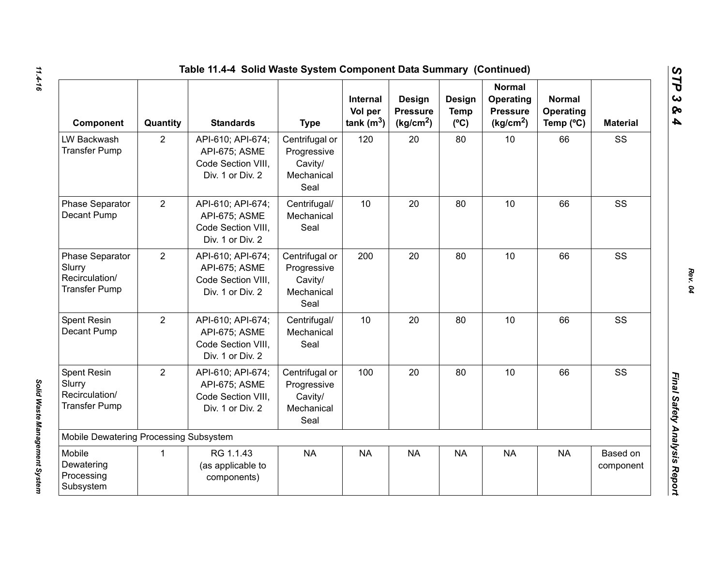| Table 11.4-4 Solid Waste System Component Data Summary (Continued)         |                |                                                                              |                                                                |                                            |                                                    |                                        |                                                                        |                                         |                       |  |
|----------------------------------------------------------------------------|----------------|------------------------------------------------------------------------------|----------------------------------------------------------------|--------------------------------------------|----------------------------------------------------|----------------------------------------|------------------------------------------------------------------------|-----------------------------------------|-----------------------|--|
| Component                                                                  | Quantity       | <b>Standards</b>                                                             | <b>Type</b>                                                    | <b>Internal</b><br>Vol per<br>tank $(m^3)$ | Design<br><b>Pressure</b><br>(kg/cm <sup>2</sup> ) | Design<br><b>Temp</b><br>$(^{\circ}C)$ | <b>Normal</b><br>Operating<br><b>Pressure</b><br>(kg/cm <sup>2</sup> ) | <b>Normal</b><br>Operating<br>Temp (°C) | <b>Material</b>       |  |
| LW Backwash<br><b>Transfer Pump</b>                                        | $\overline{2}$ | API-610; API-674;<br>API-675; ASME<br>Code Section VIII,<br>Div. 1 or Div. 2 | Centrifugal or<br>Progressive<br>Cavity/<br>Mechanical<br>Seal | 120                                        | 20                                                 | 80                                     | 10                                                                     | 66                                      | SS                    |  |
| Phase Separator<br>Decant Pump                                             | 2              | API-610; API-674;<br>API-675; ASME<br>Code Section VIII.<br>Div. 1 or Div. 2 | Centrifugal/<br>Mechanical<br>Seal                             | 10                                         | 20                                                 | 80                                     | 10                                                                     | 66                                      | SS                    |  |
| <b>Phase Separator</b><br>Slurry<br>Recirculation/<br><b>Transfer Pump</b> | $\overline{2}$ | API-610; API-674;<br>API-675; ASME<br>Code Section VIII,<br>Div. 1 or Div. 2 | Centrifugal or<br>Progressive<br>Cavity/<br>Mechanical<br>Seal | 200                                        | 20                                                 | 80                                     | 10                                                                     | 66                                      | SS                    |  |
| Spent Resin<br>Decant Pump                                                 | $\overline{2}$ | API-610; API-674;<br>API-675; ASME<br>Code Section VIII.<br>Div. 1 or Div. 2 | Centrifugal/<br>Mechanical<br>Seal                             | 10                                         | 20                                                 | 80                                     | 10                                                                     | 66                                      | SS                    |  |
| <b>Spent Resin</b><br>Slurry<br>Recirculation/<br><b>Transfer Pump</b>     | $\overline{2}$ | API-610; API-674;<br>API-675; ASME<br>Code Section VIII.<br>Div. 1 or Div. 2 | Centrifugal or<br>Progressive<br>Cavity/<br>Mechanical<br>Seal | 100                                        | 20                                                 | 80                                     | 10                                                                     | 66                                      | SS                    |  |
| Mobile Dewatering Processing Subsystem                                     |                |                                                                              |                                                                |                                            |                                                    |                                        |                                                                        |                                         |                       |  |
| Mobile<br>Dewatering<br>Processing<br>Subsystem                            | $\mathbf{1}$   | RG 1.1.43<br>(as applicable to<br>components)                                | <b>NA</b>                                                      | <b>NA</b>                                  | <b>NA</b>                                          | <b>NA</b>                              | <b>NA</b>                                                              | <b>NA</b>                               | Based on<br>component |  |

*Solid Waste Management System* 

Solid Waste Management System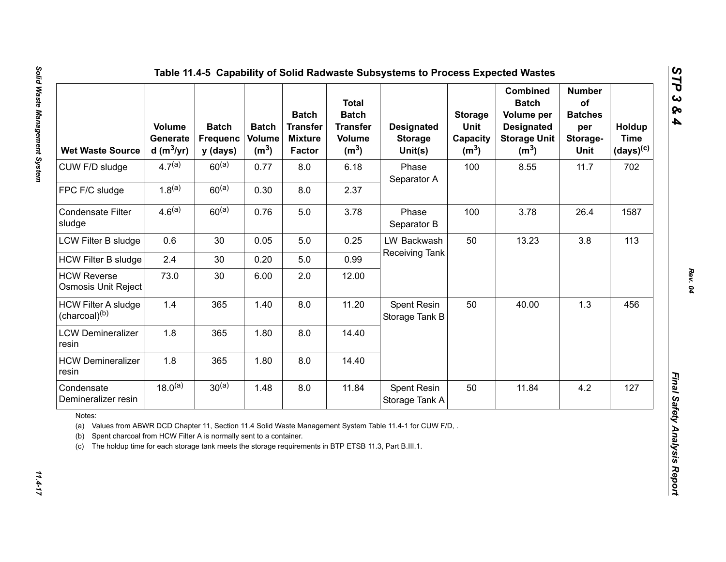| <b>Wet Waste Source</b>                                                                                                                                                                                                                                                                                        | Volume<br>Generate<br>d (m $3/yr$ ) | <b>Batch</b><br><b>Frequenc</b><br>y (days) | <b>Batch</b><br><b>Volume</b><br>(m <sup>3</sup> ) | <b>Batch</b><br><b>Transfer</b><br><b>Mixture</b><br>Factor | <b>Total</b><br><b>Batch</b><br><b>Transfer</b><br><b>Volume</b><br>(m <sup>3</sup> ) | <b>Designated</b><br><b>Storage</b><br>Unit(s) | <b>Storage</b><br>Unit<br>Capacity<br>(m <sup>3</sup> ) | <b>Combined</b><br><b>Batch</b><br>Volume per<br><b>Designated</b><br><b>Storage Unit</b><br>(m <sup>3</sup> ) | <b>Number</b><br>of<br><b>Batches</b><br>per<br>Storage-<br>Unit | Holdup<br><b>Time</b><br>$(days)^{(c)}$ |
|----------------------------------------------------------------------------------------------------------------------------------------------------------------------------------------------------------------------------------------------------------------------------------------------------------------|-------------------------------------|---------------------------------------------|----------------------------------------------------|-------------------------------------------------------------|---------------------------------------------------------------------------------------|------------------------------------------------|---------------------------------------------------------|----------------------------------------------------------------------------------------------------------------|------------------------------------------------------------------|-----------------------------------------|
| CUW F/D sludge                                                                                                                                                                                                                                                                                                 | $4.7^{(a)}$                         | $60^{(a)}$                                  | 0.77                                               | 8.0                                                         | 6.18                                                                                  | Phase<br>Separator A                           | 100                                                     | 8.55                                                                                                           | 11.7                                                             | 702                                     |
| FPC F/C sludge                                                                                                                                                                                                                                                                                                 | $1.8^{(a)}$                         | $60^{(a)}$                                  | 0.30                                               | 8.0                                                         | 2.37                                                                                  |                                                |                                                         |                                                                                                                |                                                                  |                                         |
| <b>Condensate Filter</b><br>sludge                                                                                                                                                                                                                                                                             | $4.6^{(a)}$                         | $60^{(a)}$                                  | 0.76                                               | 5.0                                                         | 3.78                                                                                  | Phase<br>Separator B                           | 100                                                     | 3.78                                                                                                           | 26.4                                                             | 1587                                    |
| LCW Filter B sludge                                                                                                                                                                                                                                                                                            | 0.6                                 | 30                                          | 0.05                                               | 5.0                                                         | 0.25                                                                                  | LW Backwash                                    | 50                                                      | 13.23                                                                                                          | 3.8                                                              | 113                                     |
| <b>HCW Filter B sludge</b>                                                                                                                                                                                                                                                                                     | 2.4                                 | 30                                          | 0.20                                               | 5.0                                                         | 0.99                                                                                  | Receiving Tank                                 |                                                         |                                                                                                                |                                                                  |                                         |
| <b>HCW Reverse</b><br>Osmosis Unit Reject                                                                                                                                                                                                                                                                      | 73.0                                | 30                                          | 6.00                                               | 2.0                                                         | 12.00                                                                                 |                                                |                                                         |                                                                                                                |                                                                  |                                         |
| <b>HCW Filter A sludge</b><br>(charcoal) <sup>(b)</sup>                                                                                                                                                                                                                                                        | 1.4                                 | 365                                         | 1.40                                               | 8.0                                                         | 11.20                                                                                 | Spent Resin<br>Storage Tank B                  | 50                                                      | 40.00                                                                                                          | 1.3                                                              | 456                                     |
| <b>LCW Demineralizer</b><br>resin                                                                                                                                                                                                                                                                              | 1.8                                 | 365                                         | 1.80                                               | 8.0                                                         | 14.40                                                                                 |                                                |                                                         |                                                                                                                |                                                                  |                                         |
| <b>HCW Demineralizer</b><br>resin                                                                                                                                                                                                                                                                              | 1.8                                 | 365                                         | 1.80                                               | 8.0                                                         | 14.40                                                                                 |                                                |                                                         |                                                                                                                |                                                                  |                                         |
| Condensate<br>Demineralizer resin                                                                                                                                                                                                                                                                              | $18.0^{(a)}$                        | $30^{(a)}$                                  | 1.48                                               | 8.0                                                         | 11.84                                                                                 | Spent Resin<br>Storage Tank A                  | 50                                                      | 11.84                                                                                                          | 4.2                                                              | 127                                     |
| Notes:<br>(a) Values from ABWR DCD Chapter 11, Section 11.4 Solid Waste Management System Table 11.4-1 for CUW F/D.<br>Spent charcoal from HCW Filter A is normally sent to a container.<br>(b)<br>The holdup time for each storage tank meets the storage requirements in BTP ETSB 11.3, Part B.III.1.<br>(c) |                                     |                                             |                                                    |                                                             |                                                                                       |                                                |                                                         |                                                                                                                |                                                                  |                                         |

 $11.4 - 17$ 

*Rev. 04*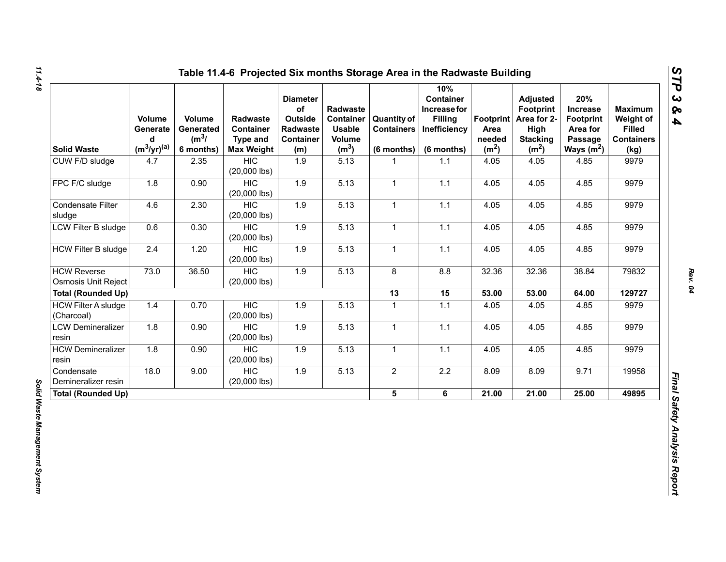| <b>Solid Waste</b>                               | Volume<br>Generate<br>d<br>$(m^3/yr)^{(a)}$ | Volume<br>Generated<br>$(m^3)$<br>6 months) | <b>Radwaste</b><br>Container<br><b>Type and</b><br><b>Max Weight</b> | <b>Diameter</b><br>of<br>Outside<br>Radwaste<br><b>Container</b><br>(m) | Radwaste<br><b>Container</b><br><b>Usable</b><br>Volume<br>(m <sup>3</sup> ) | <b>Quantity of</b><br><b>Containers</b><br>$(6$ months) | 10%<br><b>Container</b><br>Increase for<br><b>Filling</b><br>Inefficiency<br>(6 months) | Footprint  <br>Area<br>needed<br>(m <sup>2</sup> ) | <b>Adjusted</b><br><b>Footprint</b><br>Area for 2-<br>High<br><b>Stacking</b><br>(m <sup>2</sup> ) | 20%<br><b>Increase</b><br><b>Footprint</b><br>Area for<br>Passage<br>Ways $(m^2)$ | <b>Maximum</b><br>Weight of<br><b>Filled</b><br><b>Containers</b><br>(kg) |
|--------------------------------------------------|---------------------------------------------|---------------------------------------------|----------------------------------------------------------------------|-------------------------------------------------------------------------|------------------------------------------------------------------------------|---------------------------------------------------------|-----------------------------------------------------------------------------------------|----------------------------------------------------|----------------------------------------------------------------------------------------------------|-----------------------------------------------------------------------------------|---------------------------------------------------------------------------|
| CUW F/D sludge                                   | 4.7                                         | 2.35                                        | <b>HIC</b><br>$(20,000$ lbs)                                         | 1.9                                                                     | 5.13                                                                         | 1                                                       | 1.1                                                                                     | 4.05                                               | 4.05                                                                                               | 4.85                                                                              | 9979                                                                      |
| FPC F/C sludge                                   | 1.8                                         | 0.90                                        | <b>HIC</b><br>$(20,000$ lbs)                                         | 1.9                                                                     | 5.13                                                                         | $\mathbf{1}$                                            | 1.1                                                                                     | 4.05                                               | 4.05                                                                                               | 4.85                                                                              | 9979                                                                      |
| Condensate Filter<br>sludge                      | 4.6                                         | 2.30                                        | <b>HIC</b><br>$(20,000$ lbs)                                         | 1.9                                                                     | 5.13                                                                         | $\mathbf{1}$                                            | 1.1                                                                                     | 4.05                                               | 4.05                                                                                               | 4.85                                                                              | 9979                                                                      |
| LCW Filter B sludge                              | 0.6                                         | 0.30                                        | <b>HIC</b><br>$(20,000$ lbs)                                         | 1.9                                                                     | 5.13                                                                         | $\mathbf{1}$                                            | $1.1$                                                                                   | 4.05                                               | 4.05                                                                                               | 4.85                                                                              | 9979                                                                      |
| <b>HCW Filter B sludge</b>                       | 2.4                                         | 1.20                                        | <b>HIC</b><br>$(20,000$ lbs)                                         | 1.9                                                                     | 5.13                                                                         | $\mathbf{1}$                                            | 1.1                                                                                     | 4.05                                               | 4.05                                                                                               | 4.85                                                                              | 9979                                                                      |
| <b>HCW Reverse</b><br><b>Osmosis Unit Reject</b> | 73.0                                        | 36.50                                       | <b>HIC</b><br>$(20,000$ lbs)                                         | 1.9                                                                     | 5.13                                                                         | 8                                                       | 8.8                                                                                     | 32.36                                              | 32.36                                                                                              | 38.84                                                                             | 79832                                                                     |
| <b>Total (Rounded Up)</b>                        |                                             |                                             |                                                                      |                                                                         |                                                                              | 13                                                      | 15                                                                                      | 53.00                                              | 53.00                                                                                              | 64.00                                                                             | 129727                                                                    |
| <b>HCW Filter A sludge</b><br>(Charcoal)         | 1.4                                         | 0.70                                        | <b>HIC</b><br>$(20,000$ lbs)                                         | 1.9                                                                     | 5.13                                                                         | $\mathbf{1}$                                            | $1.1$                                                                                   | 4.05                                               | 4.05                                                                                               | 4.85                                                                              | 9979                                                                      |
| <b>LCW Demineralizer</b><br>resin                | 1.8                                         | 0.90                                        | <b>HIC</b><br>$(20,000$ lbs)                                         | 1.9                                                                     | 5.13                                                                         | $\mathbf{1}$                                            | 1.1                                                                                     | 4.05                                               | 4.05                                                                                               | 4.85                                                                              | 9979                                                                      |
| <b>HCW Demineralizer</b><br>resin                | 1.8                                         | 0.90                                        | <b>HIC</b><br>$(20,000$ lbs)                                         | 1.9                                                                     | 5.13                                                                         | 1                                                       | 1.1                                                                                     | 4.05                                               | 4.05                                                                                               | 4.85                                                                              | 9979                                                                      |
| Condensate<br>Demineralizer resin                | 18.0                                        | 9.00                                        | <b>HIC</b><br>$(20,000$ lbs)                                         | $1.9$                                                                   | 5.13                                                                         | $\overline{2}$                                          | $2.2\,$                                                                                 | 8.09                                               | 8.09                                                                                               | 9.71                                                                              | 19958                                                                     |
| <b>Total (Rounded Up)</b>                        |                                             |                                             |                                                                      |                                                                         |                                                                              | $5\phantom{.0}$                                         | 6                                                                                       | 21.00                                              | 21.00                                                                                              | 25.00                                                                             | 49895                                                                     |